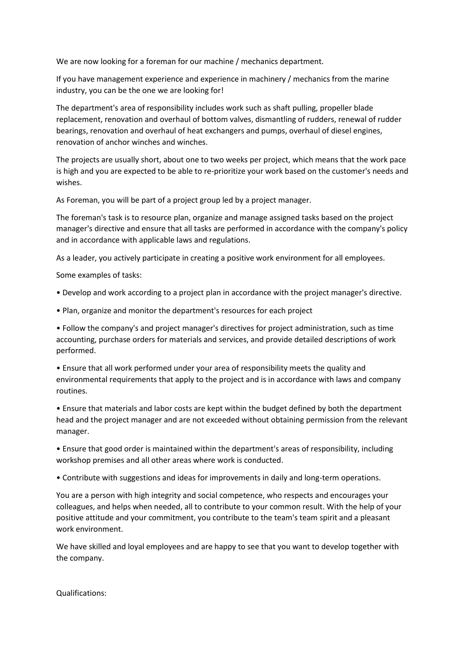We are now looking for a foreman for our machine / mechanics department.

If you have management experience and experience in machinery / mechanics from the marine industry, you can be the one we are looking for!

The department's area of responsibility includes work such as shaft pulling, propeller blade replacement, renovation and overhaul of bottom valves, dismantling of rudders, renewal of rudder bearings, renovation and overhaul of heat exchangers and pumps, overhaul of diesel engines, renovation of anchor winches and winches.

The projects are usually short, about one to two weeks per project, which means that the work pace is high and you are expected to be able to re-prioritize your work based on the customer's needs and wishes.

As Foreman, you will be part of a project group led by a project manager.

The foreman's task is to resource plan, organize and manage assigned tasks based on the project manager's directive and ensure that all tasks are performed in accordance with the company's policy and in accordance with applicable laws and regulations.

As a leader, you actively participate in creating a positive work environment for all employees.

Some examples of tasks:

• Develop and work according to a project plan in accordance with the project manager's directive.

• Plan, organize and monitor the department's resources for each project

• Follow the company's and project manager's directives for project administration, such as time accounting, purchase orders for materials and services, and provide detailed descriptions of work performed.

• Ensure that all work performed under your area of responsibility meets the quality and environmental requirements that apply to the project and is in accordance with laws and company routines.

• Ensure that materials and labor costs are kept within the budget defined by both the department head and the project manager and are not exceeded without obtaining permission from the relevant manager.

• Ensure that good order is maintained within the department's areas of responsibility, including workshop premises and all other areas where work is conducted.

• Contribute with suggestions and ideas for improvements in daily and long-term operations.

You are a person with high integrity and social competence, who respects and encourages your colleagues, and helps when needed, all to contribute to your common result. With the help of your positive attitude and your commitment, you contribute to the team's team spirit and a pleasant work environment.

We have skilled and loyal employees and are happy to see that you want to develop together with the company.

Qualifications: